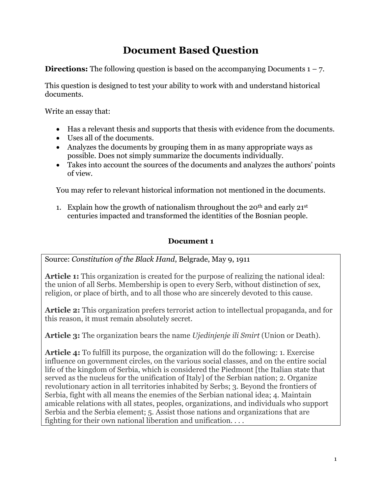# **Document Based Question**

**Directions:** The following question is based on the accompanying Documents  $1 - 7$ .

This question is designed to test your ability to work with and understand historical documents.

Write an essay that:

- Has a relevant thesis and supports that thesis with evidence from the documents.
- Uses all of the documents.
- Analyzes the documents by grouping them in as many appropriate ways as possible. Does not simply summarize the documents individually.
- Takes into account the sources of the documents and analyzes the authors' points of view.

You may refer to relevant historical information not mentioned in the documents.

1. Explain how the growth of nationalism throughout the 20<sup>th</sup> and early  $21^{st}$ centuries impacted and transformed the identities of the Bosnian people.

## **Document 1**

Source: *Constitution of the Black Hand*, Belgrade, May 9, 1911

**Article 1:** This organization is created for the purpose of realizing the national ideal: the union of all Serbs. Membership is open to every Serb, without distinction of sex, religion, or place of birth, and to all those who are sincerely devoted to this cause.

**Article 2:** This organization prefers terrorist action to intellectual propaganda, and for this reason, it must remain absolutely secret.

**Article 3:** The organization bears the name *Ujedinjenje ili Smirt* (Union or Death).

**Article 4:** To fulfill its purpose, the organization will do the following: 1. Exercise influence on government circles, on the various social classes, and on the entire social life of the kingdom of Serbia, which is considered the Piedmont [the Italian state that served as the nucleus for the unification of Italy] of the Serbian nation; 2. Organize revolutionary action in all territories inhabited by Serbs; 3. Beyond the frontiers of Serbia, fight with all means the enemies of the Serbian national idea; 4. Maintain amicable relations with all states, peoples, organizations, and individuals who support Serbia and the Serbia element; 5. Assist those nations and organizations that are fighting for their own national liberation and unification. . . .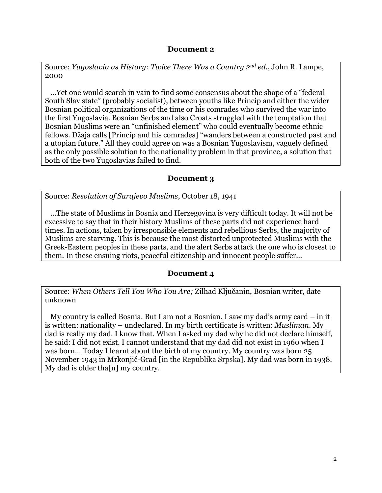#### **Document 2**

Source: *Yugoslavia as History: Twice There Was a Country 2nd ed.*, John R. Lampe, 2000

 …Yet one would search in vain to find some consensus about the shape of a "federal South Slav state" (probably socialist), between youths like Princip and either the wider Bosnian political organizations of the time or his comrades who survived the war into the first Yugoslavia. Bosnian Serbs and also Croats struggled with the temptation that Bosnian Muslims were an "unfinished element" who could eventually become ethnic fellows. Džaja calls [Princip and his comrades] "wanders between a constructed past and a utopian future." All they could agree on was a Bosnian Yugoslavism, vaguely defined as the only possible solution to the nationality problem in that province, a solution that both of the two Yugoslavias failed to find.

#### **Document 3**

Source: *Resolution of Sarajevo Muslims*, October 18, 1941

 …The state of Muslims in Bosnia and Herzegovina is very difficult today. It will not be excessive to say that in their history Muslims of these parts did not experience hard times. In actions, taken by irresponsible elements and rebellious Serbs, the majority of Muslims are starving. This is because the most distorted unprotected Muslims with the Greek-Eastern peoples in these parts, and the alert Serbs attack the one who is closest to them. In these ensuing riots, peaceful citizenship and innocent people suffer…

#### **Document 4**

Source: *When Others Tell You Who You Are;* Zilhad Ključanin, Bosnian writer, date unknown

 My country is called Bosnia. But I am not a Bosnian. I saw my dad's army card – in it is written: nationality – undeclared. In my birth certificate is written: *Musliman*. My dad is really my dad. I know that. When I asked my dad why he did not declare himself, he said: I did not exist. I cannot understand that my dad did not exist in 1960 when I was born… Today I learnt about the birth of my country. My country was born 25 November 1943 in Mrkonjić-Grad [in the Republika Srpska]. My dad was born in 1938. My dad is older tha[n] my country.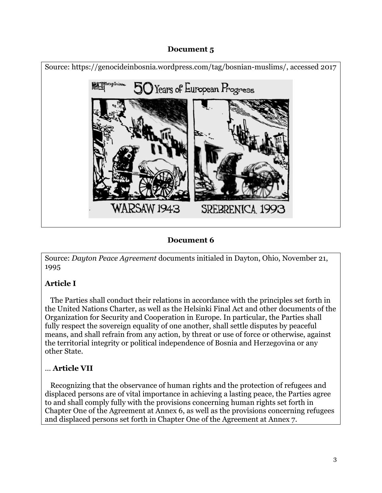## **Document 5**



## **Document 6**

Source: *Dayton Peace Agreement* documents initialed in Dayton, Ohio, November 21, 1995

# **Article I**

 The Parties shall conduct their relations in accordance with the principles set forth in the United Nations Charter, as well as the Helsinki Final Act and other documents of the Organization for Security and Cooperation in Europe. In particular, the Parties shall fully respect the sovereign equality of one another, shall settle disputes by peaceful means, and shall refrain from any action, by threat or use of force or otherwise, against the territorial integrity or political independence of Bosnia and Herzegovina or any other State.

# … **Article VII**

 Recognizing that the observance of human rights and the protection of refugees and displaced persons are of vital importance in achieving a lasting peace, the Parties agree to and shall comply fully with the provisions concerning human rights set forth in Chapter One of the Agreement at Annex 6, as well as the provisions concerning refugees and displaced persons set forth in Chapter One of the Agreement at Annex 7.